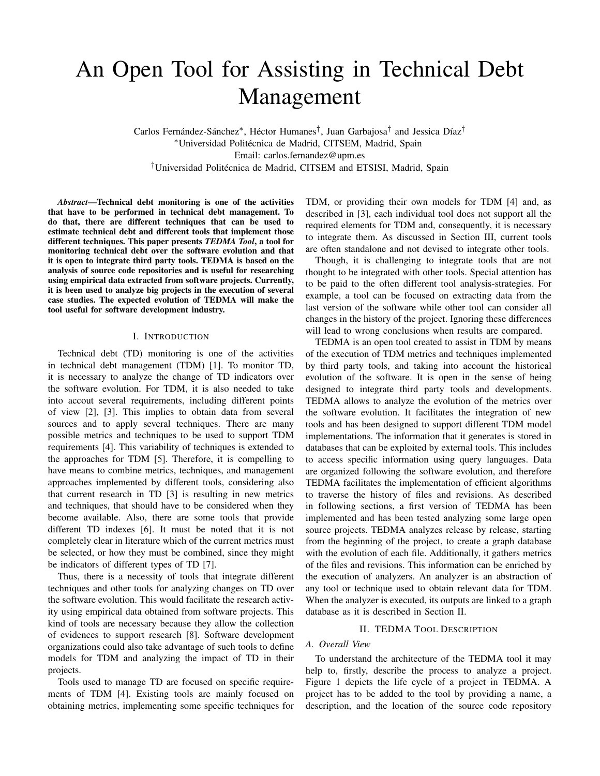# An Open Tool for Assisting in Technical Debt Management

Carlos Fernández-Sánchez\*, Héctor Humanes<sup>†</sup>, Juan Garbajosa<sup>†</sup> and Jessica Díaz<sup>†</sup> <sup>∗</sup>Universidad Politecnica de Madrid, CITSEM, Madrid, Spain ´ Email: carlos.fernandez@upm.es <sup>†</sup>Universidad Politécnica de Madrid, CITSEM and ETSISI, Madrid, Spain

*Abstract*—Technical debt monitoring is one of the activities that have to be performed in technical debt management. To do that, there are different techniques that can be used to estimate technical debt and different tools that implement those different techniques. This paper presents *TEDMA Tool*, a tool for monitoring technical debt over the software evolution and that it is open to integrate third party tools. TEDMA is based on the analysis of source code repositories and is useful for researching using empirical data extracted from software projects. Currently, it is been used to analyze big projects in the execution of several case studies. The expected evolution of TEDMA will make the tool useful for software development industry.

## I. INTRODUCTION

Technical debt (TD) monitoring is one of the activities in technical debt management (TDM) [1]. To monitor TD, it is necessary to analyze the change of TD indicators over the software evolution. For TDM, it is also needed to take into accout several requirements, including different points of view [2], [3]. This implies to obtain data from several sources and to apply several techniques. There are many possible metrics and techniques to be used to support TDM requirements [4]. This variability of techniques is extended to the approaches for TDM [5]. Therefore, it is compelling to have means to combine metrics, techniques, and management approaches implemented by different tools, considering also that current research in TD [3] is resulting in new metrics and techniques, that should have to be considered when they become available. Also, there are some tools that provide different TD indexes [6]. It must be noted that it is not completely clear in literature which of the current metrics must be selected, or how they must be combined, since they might be indicators of different types of TD [7].

Thus, there is a necessity of tools that integrate different techniques and other tools for analyzing changes on TD over the software evolution. This would facilitate the research activity using empirical data obtained from software projects. This kind of tools are necessary because they allow the collection of evidences to support research [8]. Software development organizations could also take advantage of such tools to define models for TDM and analyzing the impact of TD in their projects.

Tools used to manage TD are focused on specific requirements of TDM [4]. Existing tools are mainly focused on obtaining metrics, implementing some specific techniques for TDM, or providing their own models for TDM [4] and, as described in [3], each individual tool does not support all the required elements for TDM and, consequently, it is necessary to integrate them. As discussed in Section III, current tools are often standalone and not devised to integrate other tools.

Though, it is challenging to integrate tools that are not thought to be integrated with other tools. Special attention has to be paid to the often different tool analysis-strategies. For example, a tool can be focused on extracting data from the last version of the software while other tool can consider all changes in the history of the project. Ignoring these differences will lead to wrong conclusions when results are compared.

TEDMA is an open tool created to assist in TDM by means of the execution of TDM metrics and techniques implemented by third party tools, and taking into account the historical evolution of the software. It is open in the sense of being designed to integrate third party tools and developments. TEDMA allows to analyze the evolution of the metrics over the software evolution. It facilitates the integration of new tools and has been designed to support different TDM model implementations. The information that it generates is stored in databases that can be exploited by external tools. This includes to access specific information using query languages. Data are organized following the software evolution, and therefore TEDMA facilitates the implementation of efficient algorithms to traverse the history of files and revisions. As described in following sections, a first version of TEDMA has been implemented and has been tested analyzing some large open source projects. TEDMA analyzes release by release, starting from the beginning of the project, to create a graph database with the evolution of each file. Additionally, it gathers metrics of the files and revisions. This information can be enriched by the execution of analyzers. An analyzer is an abstraction of any tool or technique used to obtain relevant data for TDM. When the analyzer is executed, its outputs are linked to a graph database as it is described in Section II.

# II. TEDMA TOOL DESCRIPTION

# *A. Overall View*

To understand the architecture of the TEDMA tool it may help to, firstly, describe the process to analyze a project. Figure 1 depicts the life cycle of a project in TEDMA. A project has to be added to the tool by providing a name, a description, and the location of the source code repository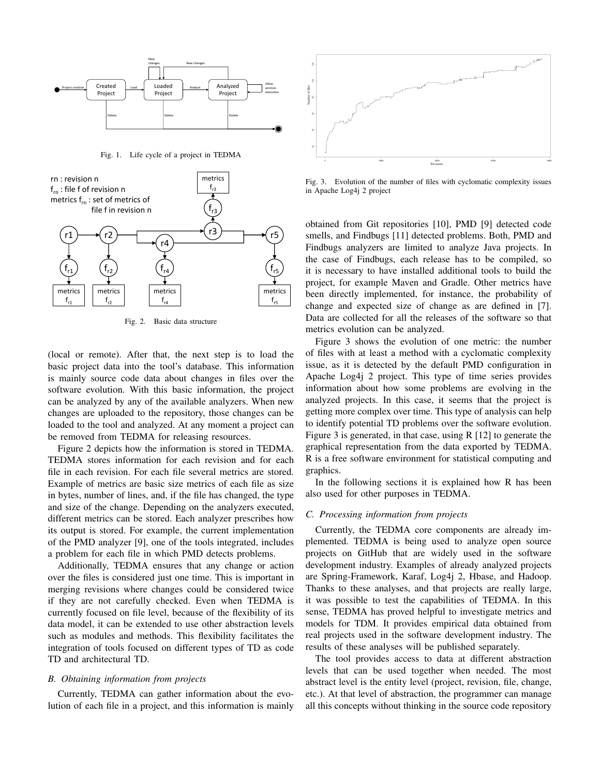

Fig. 1. Life cycle of a project in TEDMA



Fig. 2. Basic data structure

(local or remote). After that, the next step is to load the basic project data into the tool's database. This information is mainly source code data about changes in files over the software evolution. With this basic information, the project can be analyzed by any of the available analyzers. When new changes are uploaded to the repository, those changes can be loaded to the tool and analyzed. At any moment a project can be removed from TEDMA for releasing resources.

Figure 2 depicts how the information is stored in TEDMA. TEDMA stores information for each revision and for each file in each revision. For each file several metrics are stored. Example of metrics are basic size metrics of each file as size in bytes, number of lines, and, if the file has changed, the type and size of the change. Depending on the analyzers executed, different metrics can be stored. Each analyzer prescribes how its output is stored. For example, the current implementation of the PMD analyzer [9], one of the tools integrated, includes a problem for each file in which PMD detects problems.

Additionally, TEDMA ensures that any change or action over the files is considered just one time. This is important in merging revisions where changes could be considered twice if they are not carefully checked. Even when TEDMA is currently focused on file level, because of the flexibility of its data model, it can be extended to use other abstraction levels such as modules and methods. This flexibility facilitates the integration of tools focused on different types of TD as code TD and architectural TD.

### *B. Obtaining information from projects*

Currently, TEDMA can gather information about the evolution of each file in a project, and this information is mainly



Fig. 3. Evolution of the number of files with cyclomatic complexity issues in Apache Log4j 2 project

obtained from Git repositories [10], PMD [9] detected code smells, and Findbugs [11] detected problems. Both, PMD and Findbugs analyzers are limited to analyze Java projects. In the case of Findbugs, each release has to be compiled, so it is necessary to have installed additional tools to build the project, for example Maven and Gradle. Other metrics have been directly implemented, for instance, the probability of change and expected size of change as are defined in [7]. Data are collected for all the releases of the software so that metrics evolution can be analyzed.

Figure 3 shows the evolution of one metric: the number of files with at least a method with a cyclomatic complexity issue, as it is detected by the default PMD configuration in Apache Log4j 2 project. This type of time series provides information about how some problems are evolving in the analyzed projects. In this case, it seems that the project is getting more complex over time. This type of analysis can help to identify potential TD problems over the software evolution. Figure 3 is generated, in that case, using R [12] to generate the graphical representation from the data exported by TEDMA. R is a free software environment for statistical computing and graphics.

In the following sections it is explained how R has been also used for other purposes in TEDMA.

#### *C. Processing information from projects*

Currently, the TEDMA core components are already implemented. TEDMA is being used to analyze open source projects on GitHub that are widely used in the software development industry. Examples of already analyzed projects are Spring-Framework, Karaf, Log4j 2, Hbase, and Hadoop. Thanks to these analyses, and that projects are really large, it was possible to test the capabilities of TEDMA. In this sense, TEDMA has proved helpful to investigate metrics and models for TDM. It provides empirical data obtained from real projects used in the software development industry. The results of these analyses will be published separately.

The tool provides access to data at different abstraction levels that can be used together when needed. The most abstract level is the entity level (project, revision, file, change, etc.). At that level of abstraction, the programmer can manage all this concepts without thinking in the source code repository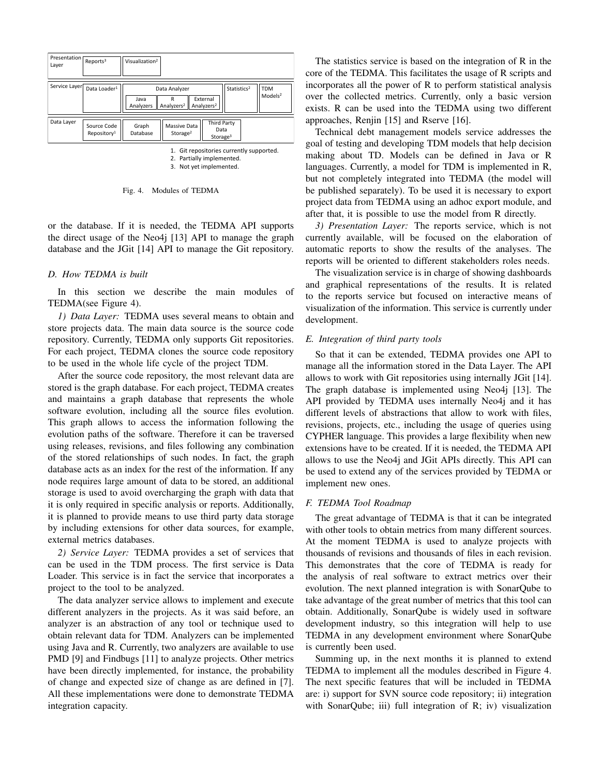

1. Git repositories currently supported. 2. Partially implemented. 3. Not yet implemented.

Fig. 4. Modules of TEDMA

or the database. If it is needed, the TEDMA API supports the direct usage of the Neo4j [13] API to manage the graph database and the JGit [14] API to manage the Git repository.

#### *D. How TEDMA is built*

In this section we describe the main modules of TEDMA(see Figure 4).

*1) Data Layer:* TEDMA uses several means to obtain and store projects data. The main data source is the source code repository. Currently, TEDMA only supports Git repositories. For each project, TEDMA clones the source code repository to be used in the whole life cycle of the project TDM.

After the source code repository, the most relevant data are stored is the graph database. For each project, TEDMA creates and maintains a graph database that represents the whole software evolution, including all the source files evolution. This graph allows to access the information following the evolution paths of the software. Therefore it can be traversed using releases, revisions, and files following any combination of the stored relationships of such nodes. In fact, the graph database acts as an index for the rest of the information. If any node requires large amount of data to be stored, an additional storage is used to avoid overcharging the graph with data that it is only required in specific analysis or reports. Additionally, it is planned to provide means to use third party data storage by including extensions for other data sources, for example, external metrics databases.

*2) Service Layer:* TEDMA provides a set of services that can be used in the TDM process. The first service is Data Loader. This service is in fact the service that incorporates a project to the tool to be analyzed.

The data analyzer service allows to implement and execute different analyzers in the projects. As it was said before, an analyzer is an abstraction of any tool or technique used to obtain relevant data for TDM. Analyzers can be implemented using Java and R. Currently, two analyzers are available to use PMD [9] and Findbugs [11] to analyze projects. Other metrics have been directly implemented, for instance, the probability of change and expected size of change as are defined in [7]. All these implementations were done to demonstrate TEDMA integration capacity.

The statistics service is based on the integration of R in the core of the TEDMA. This facilitates the usage of R scripts and incorporates all the power of R to perform statistical analysis over the collected metrics. Currently, only a basic version exists. R can be used into the TEDMA using two different approaches, Renjin [15] and Rserve [16].

Technical debt management models service addresses the goal of testing and developing TDM models that help decision making about TD. Models can be defined in Java or R languages. Currently, a model for TDM is implemented in R, but not completely integrated into TEDMA (the model will be published separately). To be used it is necessary to export project data from TEDMA using an adhoc export module, and after that, it is possible to use the model from R directly.

*3) Presentation Layer:* The reports service, which is not currently available, will be focused on the elaboration of automatic reports to show the results of the analyses. The reports will be oriented to different stakeholders roles needs.

The visualization service is in charge of showing dashboards and graphical representations of the results. It is related to the reports service but focused on interactive means of visualization of the information. This service is currently under development.

## *E. Integration of third party tools*

So that it can be extended, TEDMA provides one API to manage all the information stored in the Data Layer. The API allows to work with Git repositories using internally JGit [14]. The graph database is implemented using Neo4j [13]. The API provided by TEDMA uses internally Neo4j and it has different levels of abstractions that allow to work with files, revisions, projects, etc., including the usage of queries using CYPHER language. This provides a large flexibility when new extensions have to be created. If it is needed, the TEDMA API allows to use the Neo4j and JGit APIs directly. This API can be used to extend any of the services provided by TEDMA or implement new ones.

#### *F. TEDMA Tool Roadmap*

The great advantage of TEDMA is that it can be integrated with other tools to obtain metrics from many different sources. At the moment TEDMA is used to analyze projects with thousands of revisions and thousands of files in each revision. This demonstrates that the core of TEDMA is ready for the analysis of real software to extract metrics over their evolution. The next planned integration is with SonarQube to take advantage of the great number of metrics that this tool can obtain. Additionally, SonarQube is widely used in software development industry, so this integration will help to use TEDMA in any development environment where SonarQube is currently been used.

Summing up, in the next months it is planned to extend TEDMA to implement all the modules described in Figure 4. The next specific features that will be included in TEDMA are: i) support for SVN source code repository; ii) integration with SonarQube; iii) full integration of R; iv) visualization